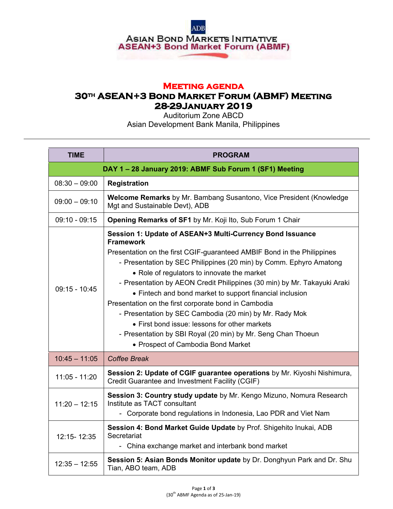

## **Meeting agenda**

## **30th ASEAN+3 Bond Market Forum (ABMF) Meeting 28-29January 2019**

Auditorium Zone ABCD Asian Development Bank Manila, Philippines

| <b>TIME</b>                                           | <b>PROGRAM</b>                                                                                                                                                                                                                                                                                                                                                                                                                                                                                                                                                                                                                                                                                  |
|-------------------------------------------------------|-------------------------------------------------------------------------------------------------------------------------------------------------------------------------------------------------------------------------------------------------------------------------------------------------------------------------------------------------------------------------------------------------------------------------------------------------------------------------------------------------------------------------------------------------------------------------------------------------------------------------------------------------------------------------------------------------|
| DAY 1-28 January 2019: ABMF Sub Forum 1 (SF1) Meeting |                                                                                                                                                                                                                                                                                                                                                                                                                                                                                                                                                                                                                                                                                                 |
| $08:30 - 09:00$                                       | <b>Registration</b>                                                                                                                                                                                                                                                                                                                                                                                                                                                                                                                                                                                                                                                                             |
| $09:00 - 09:10$                                       | Welcome Remarks by Mr. Bambang Susantono, Vice President (Knowledge<br>Mgt and Sustainable Devt), ADB                                                                                                                                                                                                                                                                                                                                                                                                                                                                                                                                                                                           |
| $09:10 - 09:15$                                       | Opening Remarks of SF1 by Mr. Koji Ito, Sub Forum 1 Chair                                                                                                                                                                                                                                                                                                                                                                                                                                                                                                                                                                                                                                       |
| $09:15 - 10:45$                                       | Session 1: Update of ASEAN+3 Multi-Currency Bond Issuance<br><b>Framework</b><br>Presentation on the first CGIF-guaranteed AMBIF Bond in the Philippines<br>- Presentation by SEC Philippines (20 min) by Comm. Ephyro Amatong<br>• Role of regulators to innovate the market<br>- Presentation by AEON Credit Philippines (30 min) by Mr. Takayuki Araki<br>• Fintech and bond market to support financial inclusion<br>Presentation on the first corporate bond in Cambodia<br>- Presentation by SEC Cambodia (20 min) by Mr. Rady Mok<br>• First bond issue: lessons for other markets<br>- Presentation by SBI Royal (20 min) by Mr. Seng Chan Thoeun<br>• Prospect of Cambodia Bond Market |
| $10:45 - 11:05$                                       | <b>Coffee Break</b>                                                                                                                                                                                                                                                                                                                                                                                                                                                                                                                                                                                                                                                                             |
| $11:05 - 11:20$                                       | Session 2: Update of CGIF guarantee operations by Mr. Kiyoshi Nishimura,<br>Credit Guarantee and Investment Facility (CGIF)                                                                                                                                                                                                                                                                                                                                                                                                                                                                                                                                                                     |
| $11:20 - 12:15$                                       | Session 3: Country study update by Mr. Kengo Mizuno, Nomura Research<br>Institute as TACT consultant<br>- Corporate bond regulations in Indonesia, Lao PDR and Viet Nam                                                                                                                                                                                                                                                                                                                                                                                                                                                                                                                         |
| 12:15-12:35                                           | Session 4: Bond Market Guide Update by Prof. Shigehito Inukai, ADB<br>Secretariat<br>- China exchange market and interbank bond market                                                                                                                                                                                                                                                                                                                                                                                                                                                                                                                                                          |
| $12:35 - 12:55$                                       | Session 5: Asian Bonds Monitor update by Dr. Donghyun Park and Dr. Shu<br>Tian, ABO team, ADB                                                                                                                                                                                                                                                                                                                                                                                                                                                                                                                                                                                                   |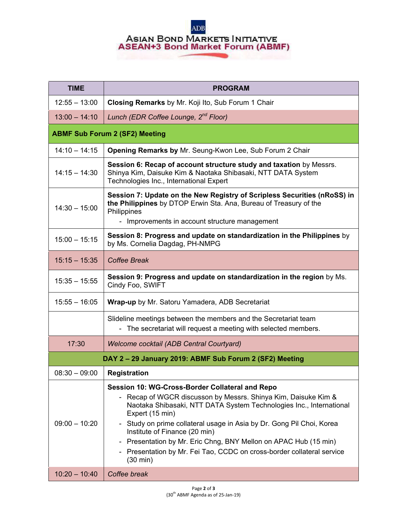## **ADB ASIAN BOND MARKETS INITIATIVE**<br>ASEAN+3 Bond Market Forum (ABMF)

| <b>TIME</b>                                             | <b>PROGRAM</b>                                                                                                                                                                                                                                                                                                                                                                                                                                                                                                        |  |
|---------------------------------------------------------|-----------------------------------------------------------------------------------------------------------------------------------------------------------------------------------------------------------------------------------------------------------------------------------------------------------------------------------------------------------------------------------------------------------------------------------------------------------------------------------------------------------------------|--|
| $12:55 - 13:00$                                         | Closing Remarks by Mr. Koji Ito, Sub Forum 1 Chair                                                                                                                                                                                                                                                                                                                                                                                                                                                                    |  |
| $13:00 - 14:10$                                         | Lunch (EDR Coffee Lounge, 2 <sup>nd</sup> Floor)                                                                                                                                                                                                                                                                                                                                                                                                                                                                      |  |
| <b>ABMF Sub Forum 2 (SF2) Meeting</b>                   |                                                                                                                                                                                                                                                                                                                                                                                                                                                                                                                       |  |
| $14:10 - 14:15$                                         | Opening Remarks by Mr. Seung-Kwon Lee, Sub Forum 2 Chair                                                                                                                                                                                                                                                                                                                                                                                                                                                              |  |
| $14:15 - 14:30$                                         | Session 6: Recap of account structure study and taxation by Messrs.<br>Shinya Kim, Daisuke Kim & Naotaka Shibasaki, NTT DATA System<br>Technologies Inc., International Expert                                                                                                                                                                                                                                                                                                                                        |  |
| $14:30 - 15:00$                                         | Session 7: Update on the New Registry of Scripless Securities (nRoSS) in<br>the Philippines by DTOP Erwin Sta. Ana, Bureau of Treasury of the<br>Philippines                                                                                                                                                                                                                                                                                                                                                          |  |
|                                                         | - Improvements in account structure management                                                                                                                                                                                                                                                                                                                                                                                                                                                                        |  |
| $15:00 - 15:15$                                         | Session 8: Progress and update on standardization in the Philippines by<br>by Ms. Cornelia Dagdag, PH-NMPG                                                                                                                                                                                                                                                                                                                                                                                                            |  |
| $15:15 - 15:35$                                         | <b>Coffee Break</b>                                                                                                                                                                                                                                                                                                                                                                                                                                                                                                   |  |
| $15:35 - 15:55$                                         | Session 9: Progress and update on standardization in the region by Ms.<br>Cindy Foo, SWIFT                                                                                                                                                                                                                                                                                                                                                                                                                            |  |
| $15:55 - 16:05$                                         | <b>Wrap-up</b> by Mr. Satoru Yamadera, ADB Secretariat                                                                                                                                                                                                                                                                                                                                                                                                                                                                |  |
|                                                         | Slideline meetings between the members and the Secretariat team<br>- The secretariat will request a meeting with selected members.                                                                                                                                                                                                                                                                                                                                                                                    |  |
| 17:30                                                   | Welcome cocktail (ADB Central Courtyard)                                                                                                                                                                                                                                                                                                                                                                                                                                                                              |  |
| DAY 2 - 29 January 2019: ABMF Sub Forum 2 (SF2) Meeting |                                                                                                                                                                                                                                                                                                                                                                                                                                                                                                                       |  |
| $08:30 - 09:00$                                         | <b>Registration</b>                                                                                                                                                                                                                                                                                                                                                                                                                                                                                                   |  |
| $09:00 - 10:20$                                         | Session 10: WG-Cross-Border Collateral and Repo<br>Recap of WGCR discusson by Messrs. Shinya Kim, Daisuke Kim &<br>Naotaka Shibasaki, NTT DATA System Technologies Inc., International<br>Expert (15 min)<br>- Study on prime collateral usage in Asia by Dr. Gong Pil Choi, Korea<br>Institute of Finance (20 min)<br>Presentation by Mr. Eric Chng, BNY Mellon on APAC Hub (15 min)<br>$\overline{\phantom{0}}$<br>Presentation by Mr. Fei Tao, CCDC on cross-border collateral service<br>Ξ.<br>$(30 \text{ min})$ |  |
| $10:20 - 10:40$                                         | Coffee break                                                                                                                                                                                                                                                                                                                                                                                                                                                                                                          |  |